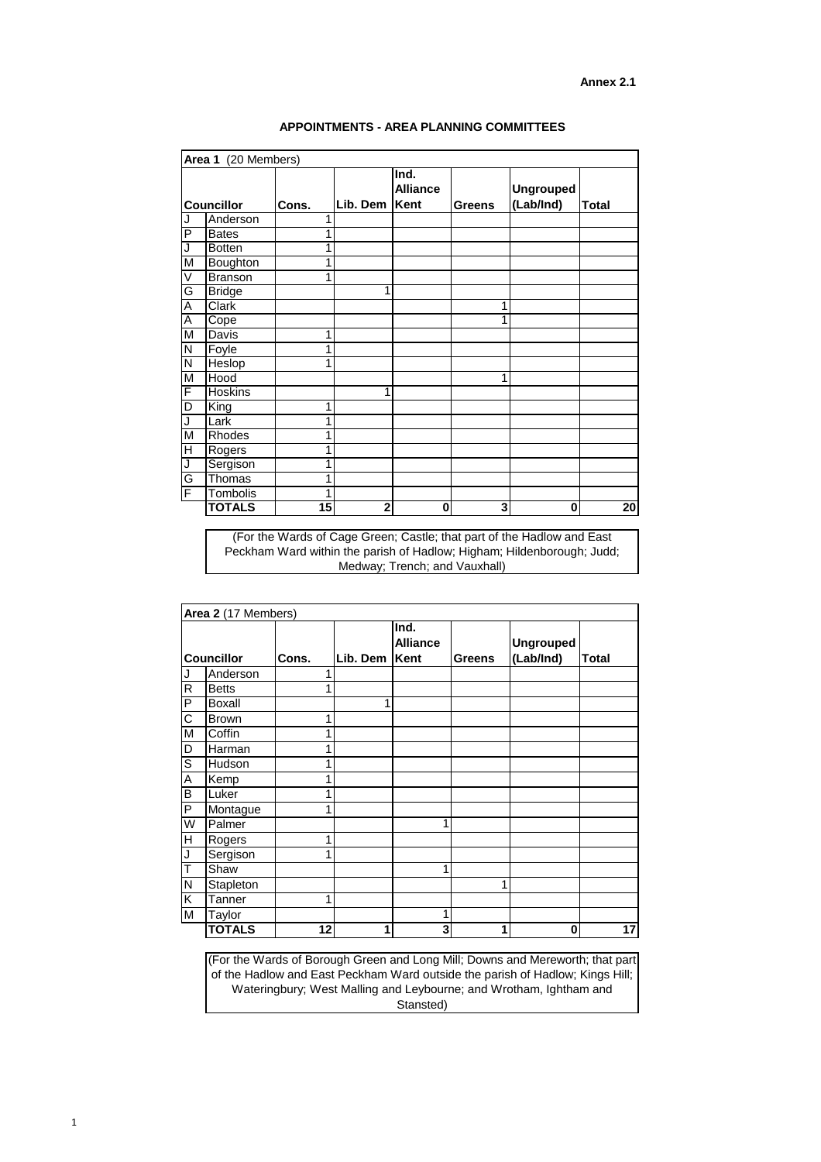|                   | Area 2 (17 Members) |       |          |                                 |               |                               |              |
|-------------------|---------------------|-------|----------|---------------------------------|---------------|-------------------------------|--------------|
| <b>Councillor</b> |                     | Cons. | Lib. Dem | Ind.<br><b>Alliance</b><br>Kent | <b>Greens</b> | <b>Ungrouped</b><br>(Lab/Ind) | <b>Total</b> |
|                   | Anderson            |       |          |                                 |               |                               |              |
| $\mathsf{R}$      | <b>Betts</b>        | 1     |          |                                 |               |                               |              |
| P                 | <b>Boxall</b>       |       | ◀        |                                 |               |                               |              |
| C                 | <b>Brown</b>        | 1     |          |                                 |               |                               |              |
| M                 | Coffin              | 1     |          |                                 |               |                               |              |
| D                 | Harman              | 1     |          |                                 |               |                               |              |
| $\overline{S}$    | Hudson              | 1     |          |                                 |               |                               |              |
| Α                 | Kemp                | 1     |          |                                 |               |                               |              |
| B                 | Luker               | 1     |          |                                 |               |                               |              |
| $\mathsf{P}$      | Montague            | 1     |          |                                 |               |                               |              |
| W                 | Palmer              |       |          | 1                               |               |                               |              |
| H                 | Rogers              | 1     |          |                                 |               |                               |              |
| J                 | Sergison            | 1     |          |                                 |               |                               |              |
|                   | Shaw                |       |          |                                 |               |                               |              |
| $\mathsf{N}$      | Stapleton           |       |          |                                 | 1             |                               |              |
| K                 | <b>Tanner</b>       | 1     |          |                                 |               |                               |              |
| M                 | Taylor              |       |          | 1                               |               |                               |              |
|                   | <b>TOTALS</b>       | 12    | 1        | 3                               | 1             | $\bf{0}$                      | 17           |

| Area 1 (20 Members)     |                 |       |                |                                 |                         |                               |              |  |  |  |
|-------------------------|-----------------|-------|----------------|---------------------------------|-------------------------|-------------------------------|--------------|--|--|--|
| <b>Councillor</b>       |                 | Cons. | Lib. Dem       | Ind.<br><b>Alliance</b><br>Kent | <b>Greens</b>           | <b>Ungrouped</b><br>(Lab/Ind) | <b>Total</b> |  |  |  |
| J                       | Anderson        | 1     |                |                                 |                         |                               |              |  |  |  |
| $\overline{P}$          | <b>Bates</b>    | 1     |                |                                 |                         |                               |              |  |  |  |
| J                       | <b>Botten</b>   | 1     |                |                                 |                         |                               |              |  |  |  |
| M                       | <b>Boughton</b> | 1     |                |                                 |                         |                               |              |  |  |  |
| $\overline{\vee}$       | <b>Branson</b>  | 1     |                |                                 |                         |                               |              |  |  |  |
| G                       | <b>Bridge</b>   |       | 1              |                                 |                         |                               |              |  |  |  |
| $\overline{\mathsf{A}}$ | <b>Clark</b>    |       |                |                                 | 1                       |                               |              |  |  |  |
| $\overline{A}$          | Cope            |       |                |                                 |                         |                               |              |  |  |  |
| $\overline{\mathsf{M}}$ | Davis           | 1     |                |                                 |                         |                               |              |  |  |  |
| $\overline{\mathsf{N}}$ | Foyle           | 1     |                |                                 |                         |                               |              |  |  |  |
| $\overline{\mathsf{N}}$ | Heslop          | 1     |                |                                 |                         |                               |              |  |  |  |
| $\overline{\mathsf{M}}$ | Hood            |       |                |                                 |                         |                               |              |  |  |  |
| F                       | <b>Hoskins</b>  |       | 1              |                                 |                         |                               |              |  |  |  |
| D                       | King            | 1     |                |                                 |                         |                               |              |  |  |  |
| J                       | Lark            | 1     |                |                                 |                         |                               |              |  |  |  |
| M                       | <b>Rhodes</b>   | 1     |                |                                 |                         |                               |              |  |  |  |
| $\overline{\mathsf{H}}$ | Rogers          | 1     |                |                                 |                         |                               |              |  |  |  |
| $\overline{\mathsf{J}}$ | Sergison        | 1     |                |                                 |                         |                               |              |  |  |  |
| G                       | Thomas          | 1     |                |                                 |                         |                               |              |  |  |  |
| F                       | Tombolis        | 1     |                |                                 |                         |                               |              |  |  |  |
|                         | <b>TOTALS</b>   | 15    | $\overline{2}$ | 0                               | $\overline{\mathbf{3}}$ | 0                             | 20           |  |  |  |

(For the Wards of Cage Green; Castle; that part of the Hadlow and East Peckham Ward within the parish of Hadlow; Higham; Hildenborough; Judd; Medway; Trench; and Vauxhall)

(For the Wards of Borough Green and Long Mill; Downs and Mereworth; that part of the Hadlow and East Peckham Ward outside the parish of Hadlow; Kings Hill; Wateringbury; West Malling and Leybourne; and Wrotham, Ightham and Stansted)

**Annex 2.1**

## **APPOINTMENTS - AREA PLANNING COMMITTEES**

1